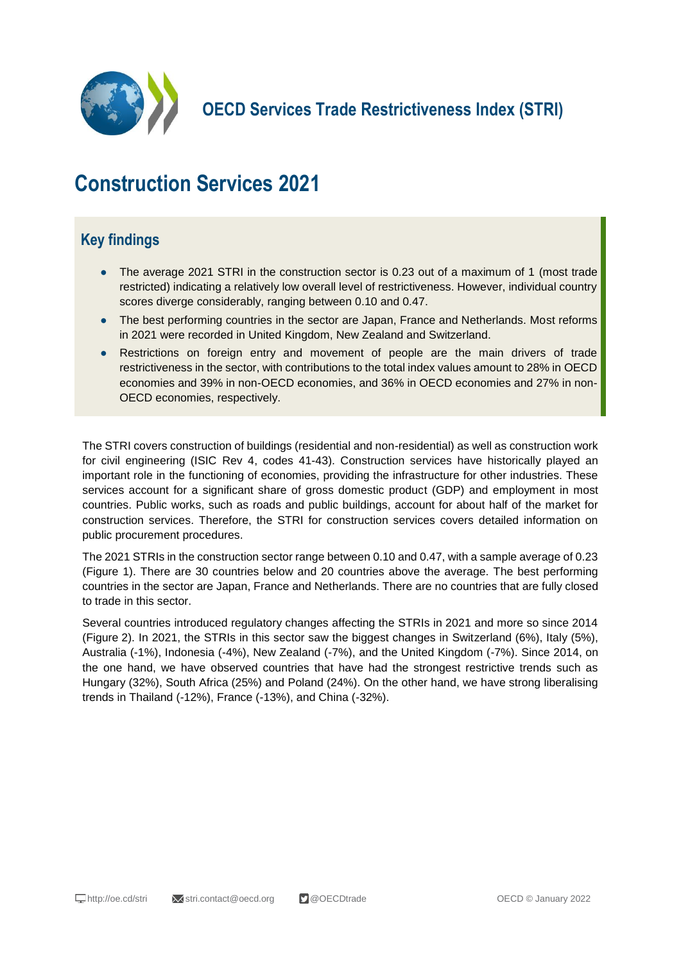

**OECD Services Trade Restrictiveness Index (STRI)**

# **Construction Services 2021**

## **Key findings**

- The average 2021 STRI in the construction sector is 0.23 out of a maximum of 1 (most trade restricted) indicating a relatively low overall level of restrictiveness. However, individual country scores diverge considerably, ranging between 0.10 and 0.47.
- The best performing countries in the sector are Japan, France and Netherlands. Most reforms in 2021 were recorded in United Kingdom, New Zealand and Switzerland.
- Restrictions on foreign entry and movement of people are the main drivers of trade restrictiveness in the sector, with contributions to the total index values amount to 28% in OECD economies and 39% in non-OECD economies, and 36% in OECD economies and 27% in non-OECD economies, respectively.

The STRI covers construction of buildings (residential and non-residential) as well as construction work for civil engineering (ISIC Rev 4, codes 41-43). Construction services have historically played an important role in the functioning of economies, providing the infrastructure for other industries. These services account for a significant share of gross domestic product (GDP) and employment in most countries. Public works, such as roads and public buildings, account for about half of the market for construction services. Therefore, the STRI for construction services covers detailed information on public procurement procedures.

The 2021 STRIs in the construction sector range between 0.10 and 0.47, with a sample average of 0.23 (Figure 1). There are 30 countries below and 20 countries above the average. The best performing countries in the sector are Japan, France and Netherlands. There are no countries that are fully closed to trade in this sector.

Several countries introduced regulatory changes affecting the STRIs in 2021 and more so since 2014 (Figure 2). In 2021, the STRIs in this sector saw the biggest changes in Switzerland (6%), Italy (5%), Australia (-1%), Indonesia (-4%), New Zealand (-7%), and the United Kingdom (-7%). Since 2014, on the one hand, we have observed countries that have had the strongest restrictive trends such as Hungary (32%), South Africa (25%) and Poland (24%). On the other hand, we have strong liberalising trends in Thailand (-12%), France (-13%), and China (-32%).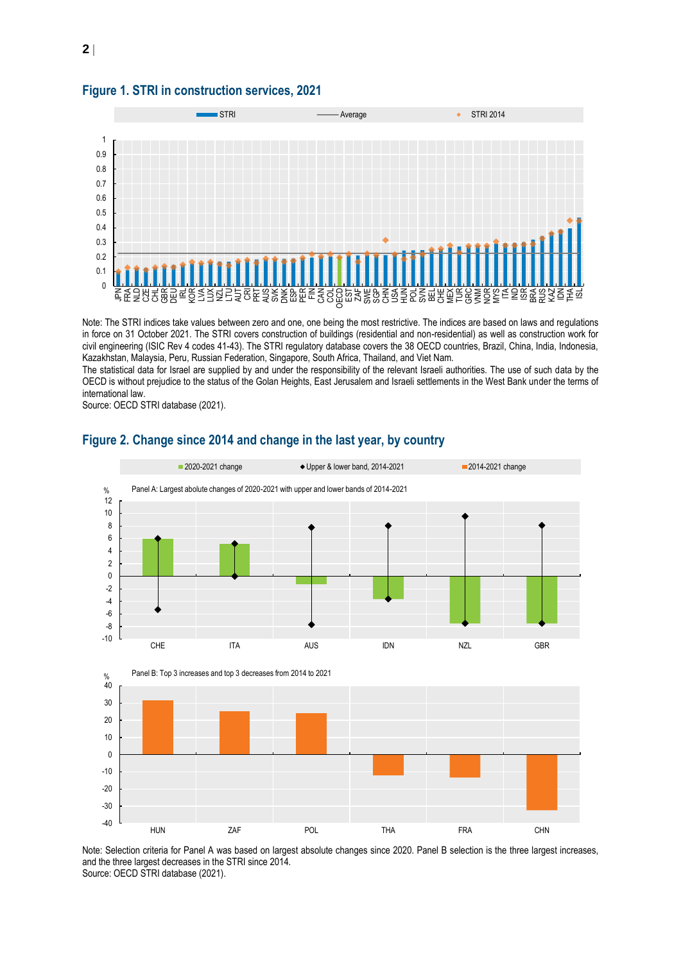

#### **Figure 1. STRI in construction services, 2021**

Note: The STRI indices take values between zero and one, one being the most restrictive. The indices are based on laws and regulations in force on 31 October 2021. The STRI covers construction of buildings (residential and non-residential) as well as construction work for civil engineering (ISIC Rev 4 codes 41-43). The STRI regulatory database covers the 38 OECD countries, Brazil, China, India, Indonesia, Kazakhstan, Malaysia, Peru, Russian Federation, Singapore, South Africa, Thailand, and Viet Nam.

The statistical data for Israel are supplied by and under the responsibility of the relevant Israeli authorities. The use of such data by the OECD is without prejudice to the status of the Golan Heights, East Jerusalem and Israeli settlements in the West Bank under the terms of international law.

Source: OECD STRI database (2021).



### **Figure 2. Change since 2014 and change in the last year, by country**

Note: Selection criteria for Panel A was based on largest absolute changes since 2020. Panel B selection is the three largest increases, and the three largest decreases in the STRI since 2014. Source: OECD STRI database (2021).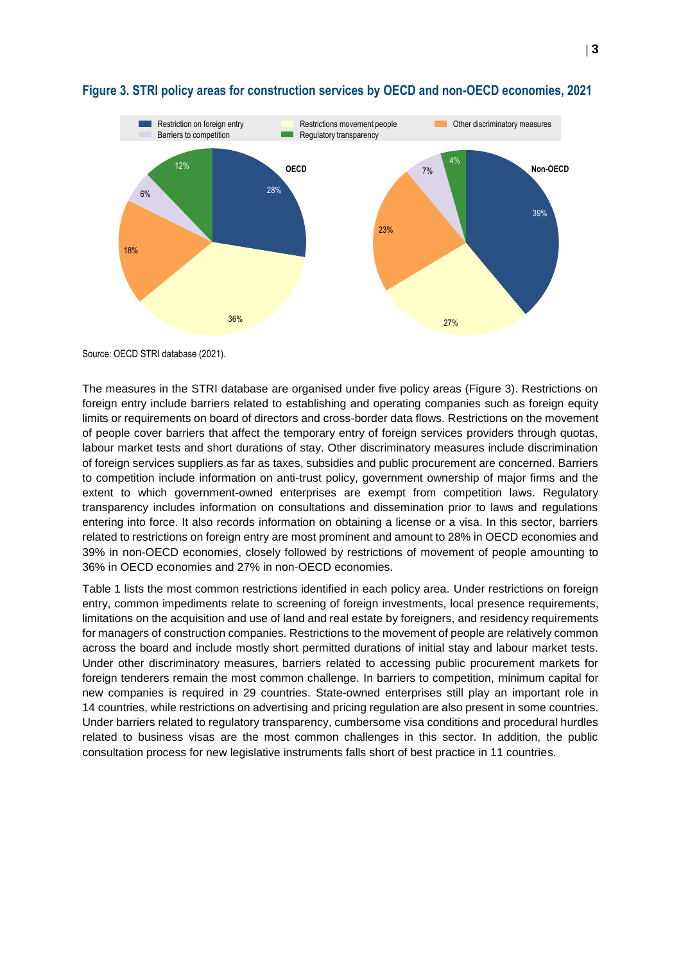

#### **Figure 3. STRI policy areas for construction services by OECD and non-OECD economies, 2021**

Source: OECD STRI database (2021).

The measures in the STRI database are organised under five policy areas (Figure 3). Restrictions on foreign entry include barriers related to establishing and operating companies such as foreign equity limits or requirements on board of directors and cross-border data flows. Restrictions on the movement of people cover barriers that affect the temporary entry of foreign services providers through quotas, labour market tests and short durations of stay. Other discriminatory measures include discrimination of foreign services suppliers as far as taxes, subsidies and public procurement are concerned. Barriers to competition include information on anti-trust policy, government ownership of major firms and the extent to which government-owned enterprises are exempt from competition laws. Regulatory transparency includes information on consultations and dissemination prior to laws and regulations entering into force. It also records information on obtaining a license or a visa. In this sector, barriers related to restrictions on foreign entry are most prominent and amount to 28% in OECD economies and 39% in non-OECD economies, closely followed by restrictions of movement of people amounting to 36% in OECD economies and 27% in non-OECD economies.

Table 1 lists the most common restrictions identified in each policy area. Under restrictions on foreign entry, common impediments relate to screening of foreign investments, local presence requirements, limitations on the acquisition and use of land and real estate by foreigners, and residency requirements for managers of construction companies. Restrictions to the movement of people are relatively common across the board and include mostly short permitted durations of initial stay and labour market tests. Under other discriminatory measures, barriers related to accessing public procurement markets for foreign tenderers remain the most common challenge. In barriers to competition, minimum capital for new companies is required in 29 countries. State-owned enterprises still play an important role in 14 countries, while restrictions on advertising and pricing regulation are also present in some countries. Under barriers related to regulatory transparency, cumbersome visa conditions and procedural hurdles related to business visas are the most common challenges in this sector. In addition, the public consultation process for new legislative instruments falls short of best practice in 11 countries.